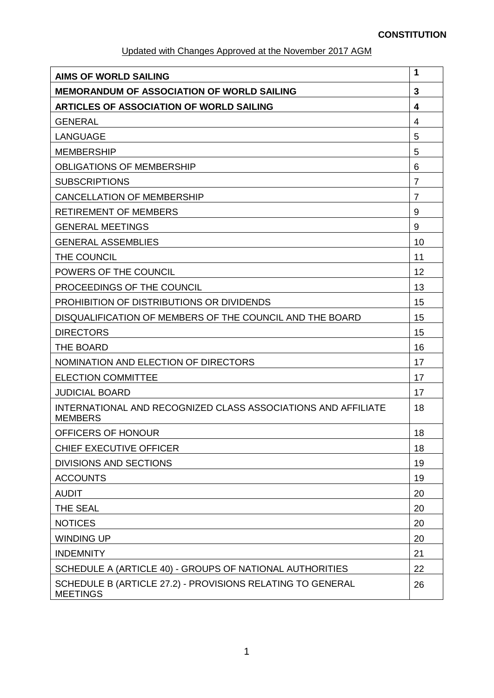| Updated with Changes Approved at the November 2017 AGM |
|--------------------------------------------------------|
|--------------------------------------------------------|

| <b>AIMS OF WORLD SAILING</b>                                                    | 1  |
|---------------------------------------------------------------------------------|----|
| <b>MEMORANDUM OF ASSOCIATION OF WORLD SAILING</b>                               | 3  |
| <b>ARTICLES OF ASSOCIATION OF WORLD SAILING</b>                                 | 4  |
| <b>GENERAL</b>                                                                  | 4  |
| <b>LANGUAGE</b>                                                                 | 5  |
| <b>MEMBERSHIP</b>                                                               | 5  |
| <b>OBLIGATIONS OF MEMBERSHIP</b>                                                | 6  |
| <b>SUBSCRIPTIONS</b>                                                            | 7  |
| <b>CANCELLATION OF MEMBERSHIP</b>                                               | 7  |
| <b>RETIREMENT OF MEMBERS</b>                                                    | 9  |
| <b>GENERAL MEETINGS</b>                                                         | 9  |
| <b>GENERAL ASSEMBLIES</b>                                                       | 10 |
| THE COUNCIL                                                                     | 11 |
| POWERS OF THE COUNCIL                                                           | 12 |
| PROCEEDINGS OF THE COUNCIL                                                      | 13 |
| PROHIBITION OF DISTRIBUTIONS OR DIVIDENDS                                       | 15 |
| DISQUALIFICATION OF MEMBERS OF THE COUNCIL AND THE BOARD                        | 15 |
| <b>DIRECTORS</b>                                                                | 15 |
| THE BOARD                                                                       | 16 |
| NOMINATION AND ELECTION OF DIRECTORS                                            | 17 |
| <b>ELECTION COMMITTEE</b>                                                       | 17 |
| <b>JUDICIAL BOARD</b>                                                           | 17 |
| INTERNATIONAL AND RECOGNIZED CLASS ASSOCIATIONS AND AFFILIATE<br><b>MEMBERS</b> | 18 |
| OFFICERS OF HONOUR                                                              | 18 |
| <b>CHIEF EXECUTIVE OFFICER</b>                                                  | 18 |
| <b>DIVISIONS AND SECTIONS</b>                                                   | 19 |
| <b>ACCOUNTS</b>                                                                 | 19 |
| <b>AUDIT</b>                                                                    | 20 |
| THE SEAL                                                                        | 20 |
| <b>NOTICES</b>                                                                  | 20 |
| <b>WINDING UP</b>                                                               | 20 |
| <b>INDEMNITY</b>                                                                | 21 |
| SCHEDULE A (ARTICLE 40) - GROUPS OF NATIONAL AUTHORITIES                        | 22 |
| SCHEDULE B (ARTICLE 27.2) - PROVISIONS RELATING TO GENERAL<br><b>MEETINGS</b>   | 26 |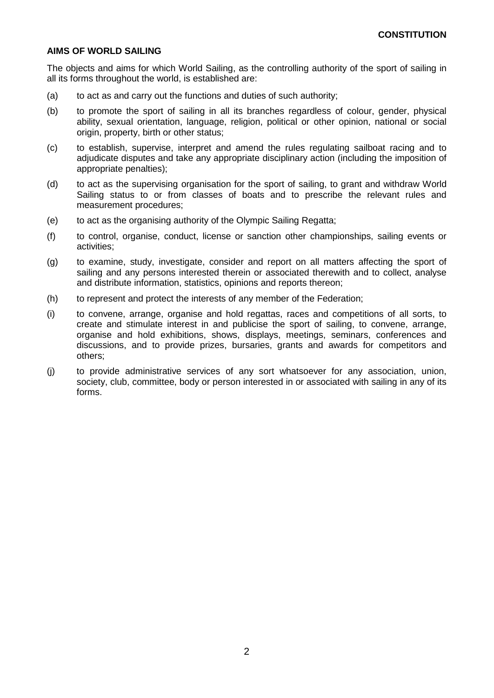#### **AIMS OF WORLD SAILING**

The objects and aims for which World Sailing, as the controlling authority of the sport of sailing in all its forms throughout the world, is established are:

- (a) to act as and carry out the functions and duties of such authority;
- (b) to promote the sport of sailing in all its branches regardless of colour, gender, physical ability, sexual orientation, language, religion, political or other opinion, national or social origin, property, birth or other status;
- (c) to establish, supervise, interpret and amend the rules regulating sailboat racing and to adjudicate disputes and take any appropriate disciplinary action (including the imposition of appropriate penalties);
- (d) to act as the supervising organisation for the sport of sailing, to grant and withdraw World Sailing status to or from classes of boats and to prescribe the relevant rules and measurement procedures;
- (e) to act as the organising authority of the Olympic Sailing Regatta;
- (f) to control, organise, conduct, license or sanction other championships, sailing events or activities;
- (g) to examine, study, investigate, consider and report on all matters affecting the sport of sailing and any persons interested therein or associated therewith and to collect, analyse and distribute information, statistics, opinions and reports thereon;
- (h) to represent and protect the interests of any member of the Federation;
- (i) to convene, arrange, organise and hold regattas, races and competitions of all sorts, to create and stimulate interest in and publicise the sport of sailing, to convene, arrange, organise and hold exhibitions, shows, displays, meetings, seminars, conferences and discussions, and to provide prizes, bursaries, grants and awards for competitors and others;
- (j) to provide administrative services of any sort whatsoever for any association, union, society, club, committee, body or person interested in or associated with sailing in any of its forms.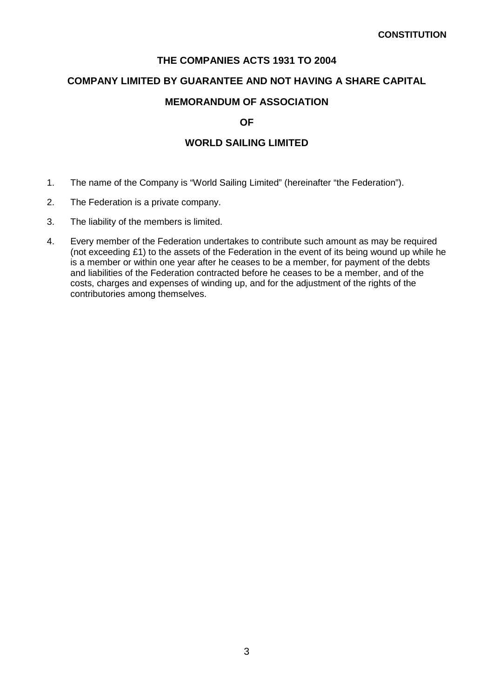# **THE COMPANIES ACTS 1931 TO 2004**

## **COMPANY LIMITED BY GUARANTEE AND NOT HAVING A SHARE CAPITAL**

## **MEMORANDUM OF ASSOCIATION**

## **OF**

## **WORLD SAILING LIMITED**

- 1. The name of the Company is "World Sailing Limited" (hereinafter "the Federation").
- 2. The Federation is a private company.
- 3. The liability of the members is limited.
- 4. Every member of the Federation undertakes to contribute such amount as may be required (not exceeding £1) to the assets of the Federation in the event of its being wound up while he is a member or within one year after he ceases to be a member, for payment of the debts and liabilities of the Federation contracted before he ceases to be a member, and of the costs, charges and expenses of winding up, and for the adjustment of the rights of the contributories among themselves.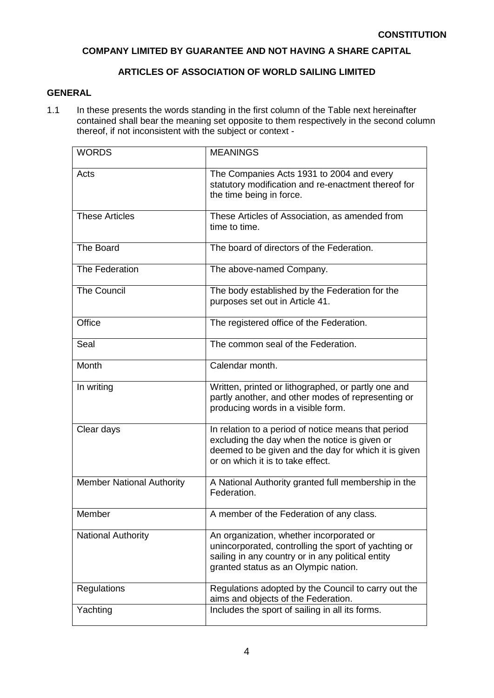# **COMPANY LIMITED BY GUARANTEE AND NOT HAVING A SHARE CAPITAL**

# **ARTICLES OF ASSOCIATION OF WORLD SAILING LIMITED**

## **GENERAL**

1.1 In these presents the words standing in the first column of the Table next hereinafter contained shall bear the meaning set opposite to them respectively in the second column thereof, if not inconsistent with the subject or context -

| <b>WORDS</b>                     | <b>MEANINGS</b>                                                                                                                                                                                   |
|----------------------------------|---------------------------------------------------------------------------------------------------------------------------------------------------------------------------------------------------|
| Acts                             | The Companies Acts 1931 to 2004 and every<br>statutory modification and re-enactment thereof for<br>the time being in force.                                                                      |
| <b>These Articles</b>            | These Articles of Association, as amended from<br>time to time.                                                                                                                                   |
| The Board                        | The board of directors of the Federation.                                                                                                                                                         |
| The Federation                   | The above-named Company.                                                                                                                                                                          |
| <b>The Council</b>               | The body established by the Federation for the<br>purposes set out in Article 41.                                                                                                                 |
| Office                           | The registered office of the Federation.                                                                                                                                                          |
| Seal                             | The common seal of the Federation.                                                                                                                                                                |
| Month                            | Calendar month.                                                                                                                                                                                   |
| In writing                       | Written, printed or lithographed, or partly one and<br>partly another, and other modes of representing or<br>producing words in a visible form.                                                   |
| Clear days                       | In relation to a period of notice means that period<br>excluding the day when the notice is given or<br>deemed to be given and the day for which it is given<br>or on which it is to take effect. |
| <b>Member National Authority</b> | A National Authority granted full membership in the<br>Federation.                                                                                                                                |
| Member                           | A member of the Federation of any class.                                                                                                                                                          |
| <b>National Authority</b>        | An organization, whether incorporated or<br>unincorporated, controlling the sport of yachting or<br>sailing in any country or in any political entity<br>granted status as an Olympic nation.     |
| <b>Regulations</b>               | Regulations adopted by the Council to carry out the<br>aims and objects of the Federation.                                                                                                        |
| Yachting                         | Includes the sport of sailing in all its forms.                                                                                                                                                   |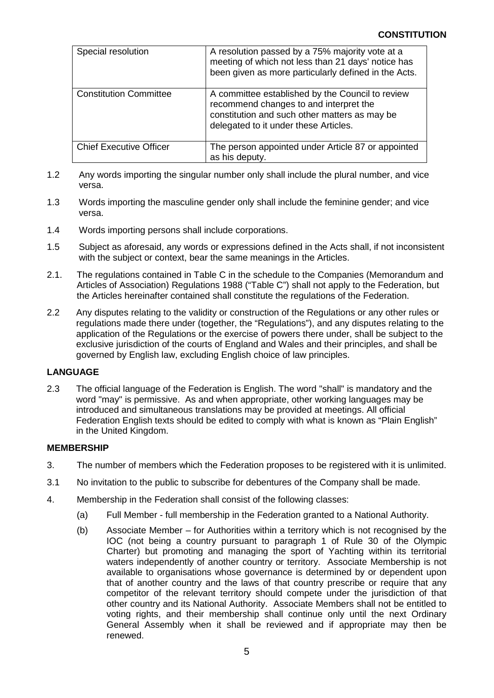| Special resolution             | A resolution passed by a 75% majority vote at a<br>meeting of which not less than 21 days' notice has                                                                                |
|--------------------------------|--------------------------------------------------------------------------------------------------------------------------------------------------------------------------------------|
|                                | been given as more particularly defined in the Acts.                                                                                                                                 |
| <b>Constitution Committee</b>  | A committee established by the Council to review<br>recommend changes to and interpret the<br>constitution and such other matters as may be<br>delegated to it under these Articles. |
| <b>Chief Executive Officer</b> | The person appointed under Article 87 or appointed<br>as his deputy.                                                                                                                 |

- 1.2 Any words importing the singular number only shall include the plural number, and vice versa.
- 1.3 Words importing the masculine gender only shall include the feminine gender; and vice versa.
- 1.4 Words importing persons shall include corporations.
- 1.5 Subject as aforesaid, any words or expressions defined in the Acts shall, if not inconsistent with the subject or context, bear the same meanings in the Articles.
- 2.1. The regulations contained in Table C in the schedule to the Companies (Memorandum and Articles of Association) Regulations 1988 ("Table C") shall not apply to the Federation, but the Articles hereinafter contained shall constitute the regulations of the Federation.
- 2.2 Any disputes relating to the validity or construction of the Regulations or any other rules or regulations made there under (together, the "Regulations"), and any disputes relating to the application of the Regulations or the exercise of powers there under, shall be subject to the exclusive jurisdiction of the courts of England and Wales and their principles, and shall be governed by English law, excluding English choice of law principles.

#### **LANGUAGE**

2.3 The official language of the Federation is English. The word "shall" is mandatory and the word "may" is permissive. As and when appropriate, other working languages may be introduced and simultaneous translations may be provided at meetings. All official Federation English texts should be edited to comply with what is known as "Plain English" in the United Kingdom.

#### **MEMBERSHIP**

- 3. The number of members which the Federation proposes to be registered with it is unlimited.
- 3.1 No invitation to the public to subscribe for debentures of the Company shall be made.
- 4. Membership in the Federation shall consist of the following classes:
	- (a) Full Member full membership in the Federation granted to a National Authority.
	- (b) Associate Member for Authorities within a territory which is not recognised by the IOC (not being a country pursuant to paragraph 1 of Rule 30 of the Olympic Charter) but promoting and managing the sport of Yachting within its territorial waters independently of another country or territory. Associate Membership is not available to organisations whose governance is determined by or dependent upon that of another country and the laws of that country prescribe or require that any competitor of the relevant territory should compete under the jurisdiction of that other country and its National Authority. Associate Members shall not be entitled to voting rights, and their membership shall continue only until the next Ordinary General Assembly when it shall be reviewed and if appropriate may then be renewed.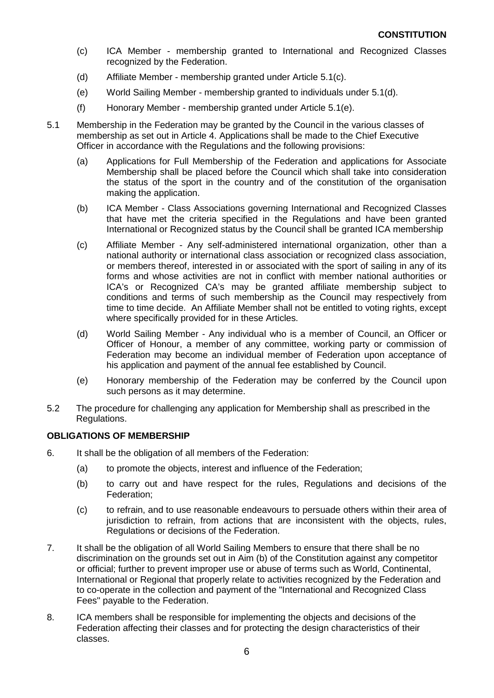- (c) ICA Member membership granted to International and Recognized Classes recognized by the Federation.
- (d) Affiliate Member membership granted under Article 5.1(c).
- (e) World Sailing Member membership granted to individuals under 5.1(d).
- (f) Honorary Member membership granted under Article 5.1(e).
- 5.1 Membership in the Federation may be granted by the Council in the various classes of membership as set out in Article 4. Applications shall be made to the Chief Executive Officer in accordance with the Regulations and the following provisions:
	- (a) Applications for Full Membership of the Federation and applications for Associate Membership shall be placed before the Council which shall take into consideration the status of the sport in the country and of the constitution of the organisation making the application.
	- (b) ICA Member Class Associations governing International and Recognized Classes that have met the criteria specified in the Regulations and have been granted International or Recognized status by the Council shall be granted ICA membership
	- (c) Affiliate Member Any self-administered international organization, other than a national authority or international class association or recognized class association, or members thereof, interested in or associated with the sport of sailing in any of its forms and whose activities are not in conflict with member national authorities or ICA's or Recognized CA's may be granted affiliate membership subject to conditions and terms of such membership as the Council may respectively from time to time decide. An Affiliate Member shall not be entitled to voting rights, except where specifically provided for in these Articles.
	- (d) World Sailing Member Any individual who is a member of Council, an Officer or Officer of Honour, a member of any committee, working party or commission of Federation may become an individual member of Federation upon acceptance of his application and payment of the annual fee established by Council.
	- (e) Honorary membership of the Federation may be conferred by the Council upon such persons as it may determine.
- 5.2 The procedure for challenging any application for Membership shall as prescribed in the Regulations.

#### **OBLIGATIONS OF MEMBERSHIP**

- 6. It shall be the obligation of all members of the Federation:
	- (a) to promote the objects, interest and influence of the Federation;
	- (b) to carry out and have respect for the rules, Regulations and decisions of the Federation;
	- (c) to refrain, and to use reasonable endeavours to persuade others within their area of jurisdiction to refrain, from actions that are inconsistent with the objects, rules, Regulations or decisions of the Federation.
- 7. It shall be the obligation of all World Sailing Members to ensure that there shall be no discrimination on the grounds set out in Aim (b) of the Constitution against any competitor or official; further to prevent improper use or abuse of terms such as World, Continental, International or Regional that properly relate to activities recognized by the Federation and to co-operate in the collection and payment of the "International and Recognized Class Fees" payable to the Federation.
- 8. ICA members shall be responsible for implementing the objects and decisions of the Federation affecting their classes and for protecting the design characteristics of their classes.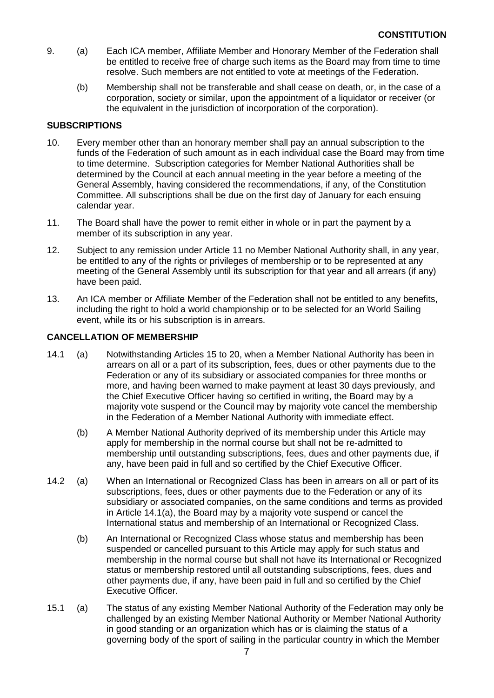- 9. (a) Each ICA member, Affiliate Member and Honorary Member of the Federation shall be entitled to receive free of charge such items as the Board may from time to time resolve. Such members are not entitled to vote at meetings of the Federation.
	- (b) Membership shall not be transferable and shall cease on death, or, in the case of a corporation, society or similar, upon the appointment of a liquidator or receiver (or the equivalent in the jurisdiction of incorporation of the corporation).

### **SUBSCRIPTIONS**

- 10. Every member other than an honorary member shall pay an annual subscription to the funds of the Federation of such amount as in each individual case the Board may from time to time determine. Subscription categories for Member National Authorities shall be determined by the Council at each annual meeting in the year before a meeting of the General Assembly, having considered the recommendations, if any, of the Constitution Committee. All subscriptions shall be due on the first day of January for each ensuing calendar year.
- 11. The Board shall have the power to remit either in whole or in part the payment by a member of its subscription in any year.
- 12. Subject to any remission under Article 11 no Member National Authority shall, in any year, be entitled to any of the rights or privileges of membership or to be represented at any meeting of the General Assembly until its subscription for that year and all arrears (if any) have been paid.
- 13. An ICA member or Affiliate Member of the Federation shall not be entitled to any benefits, including the right to hold a world championship or to be selected for an World Sailing event, while its or his subscription is in arrears.

#### **CANCELLATION OF MEMBERSHIP**

- 14.1 (a) Notwithstanding Articles 15 to 20, when a Member National Authority has been in arrears on all or a part of its subscription, fees, dues or other payments due to the Federation or any of its subsidiary or associated companies for three months or more, and having been warned to make payment at least 30 days previously, and the Chief Executive Officer having so certified in writing, the Board may by a majority vote suspend or the Council may by majority vote cancel the membership in the Federation of a Member National Authority with immediate effect.
	- (b) A Member National Authority deprived of its membership under this Article may apply for membership in the normal course but shall not be re-admitted to membership until outstanding subscriptions, fees, dues and other payments due, if any, have been paid in full and so certified by the Chief Executive Officer.
- 14.2 (a) When an International or Recognized Class has been in arrears on all or part of its subscriptions, fees, dues or other payments due to the Federation or any of its subsidiary or associated companies, on the same conditions and terms as provided in Article 14.1(a), the Board may by a majority vote suspend or cancel the International status and membership of an International or Recognized Class.
	- (b) An International or Recognized Class whose status and membership has been suspended or cancelled pursuant to this Article may apply for such status and membership in the normal course but shall not have its International or Recognized status or membership restored until all outstanding subscriptions, fees, dues and other payments due, if any, have been paid in full and so certified by the Chief Executive Officer.
- 15.1 (a) The status of any existing Member National Authority of the Federation may only be challenged by an existing Member National Authority or Member National Authority in good standing or an organization which has or is claiming the status of a governing body of the sport of sailing in the particular country in which the Member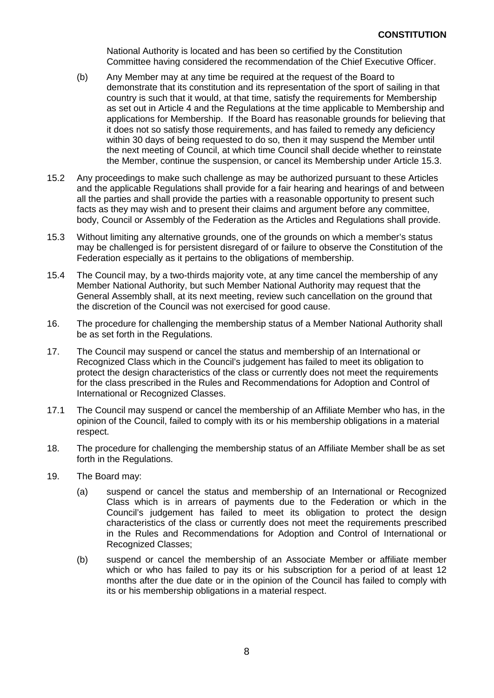National Authority is located and has been so certified by the Constitution Committee having considered the recommendation of the Chief Executive Officer.

- (b) Any Member may at any time be required at the request of the Board to demonstrate that its constitution and its representation of the sport of sailing in that country is such that it would, at that time, satisfy the requirements for Membership as set out in Article 4 and the Regulations at the time applicable to Membership and applications for Membership. If the Board has reasonable grounds for believing that it does not so satisfy those requirements, and has failed to remedy any deficiency within 30 days of being requested to do so, then it may suspend the Member until the next meeting of Council, at which time Council shall decide whether to reinstate the Member, continue the suspension, or cancel its Membership under Article 15.3.
- 15.2 Any proceedings to make such challenge as may be authorized pursuant to these Articles and the applicable Regulations shall provide for a fair hearing and hearings of and between all the parties and shall provide the parties with a reasonable opportunity to present such facts as they may wish and to present their claims and argument before any committee, body, Council or Assembly of the Federation as the Articles and Regulations shall provide.
- 15.3 Without limiting any alternative grounds, one of the grounds on which a member's status may be challenged is for persistent disregard of or failure to observe the Constitution of the Federation especially as it pertains to the obligations of membership.
- 15.4 The Council may, by a two-thirds majority vote, at any time cancel the membership of any Member National Authority, but such Member National Authority may request that the General Assembly shall, at its next meeting, review such cancellation on the ground that the discretion of the Council was not exercised for good cause.
- 16. The procedure for challenging the membership status of a Member National Authority shall be as set forth in the Regulations.
- 17. The Council may suspend or cancel the status and membership of an International or Recognized Class which in the Council's judgement has failed to meet its obligation to protect the design characteristics of the class or currently does not meet the requirements for the class prescribed in the Rules and Recommendations for Adoption and Control of International or Recognized Classes.
- 17.1 The Council may suspend or cancel the membership of an Affiliate Member who has, in the opinion of the Council, failed to comply with its or his membership obligations in a material respect.
- 18. The procedure for challenging the membership status of an Affiliate Member shall be as set forth in the Regulations.
- 19. The Board may:
	- (a) suspend or cancel the status and membership of an International or Recognized Class which is in arrears of payments due to the Federation or which in the Council's judgement has failed to meet its obligation to protect the design characteristics of the class or currently does not meet the requirements prescribed in the Rules and Recommendations for Adoption and Control of International or Recognized Classes;
	- (b) suspend or cancel the membership of an Associate Member or affiliate member which or who has failed to pay its or his subscription for a period of at least 12 months after the due date or in the opinion of the Council has failed to comply with its or his membership obligations in a material respect.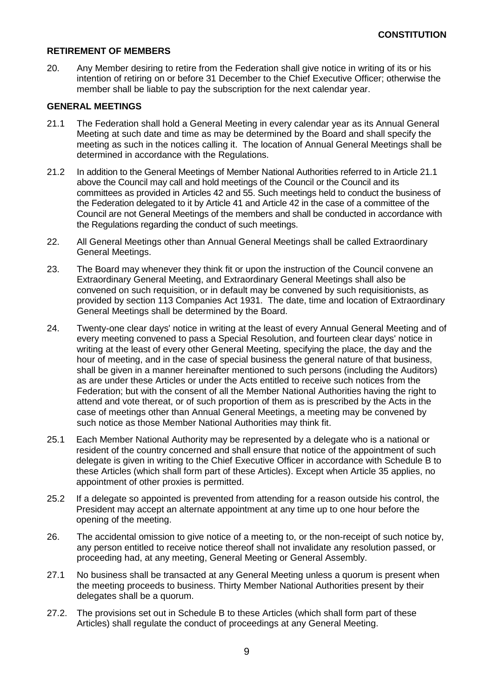#### **RETIREMENT OF MEMBERS**

20. Any Member desiring to retire from the Federation shall give notice in writing of its or his intention of retiring on or before 31 December to the Chief Executive Officer; otherwise the member shall be liable to pay the subscription for the next calendar year.

### **GENERAL MEETINGS**

- 21.1 The Federation shall hold a General Meeting in every calendar year as its Annual General Meeting at such date and time as may be determined by the Board and shall specify the meeting as such in the notices calling it. The location of Annual General Meetings shall be determined in accordance with the Regulations.
- 21.2 In addition to the General Meetings of Member National Authorities referred to in Article 21.1 above the Council may call and hold meetings of the Council or the Council and its committees as provided in Articles 42 and 55. Such meetings held to conduct the business of the Federation delegated to it by Article 41 and Article 42 in the case of a committee of the Council are not General Meetings of the members and shall be conducted in accordance with the Regulations regarding the conduct of such meetings.
- 22. All General Meetings other than Annual General Meetings shall be called Extraordinary General Meetings.
- 23. The Board may whenever they think fit or upon the instruction of the Council convene an Extraordinary General Meeting, and Extraordinary General Meetings shall also be convened on such requisition, or in default may be convened by such requisitionists, as provided by section 113 Companies Act 1931. The date, time and location of Extraordinary General Meetings shall be determined by the Board.
- 24. Twenty-one clear days' notice in writing at the least of every Annual General Meeting and of every meeting convened to pass a Special Resolution, and fourteen clear days' notice in writing at the least of every other General Meeting, specifying the place, the day and the hour of meeting, and in the case of special business the general nature of that business, shall be given in a manner hereinafter mentioned to such persons (including the Auditors) as are under these Articles or under the Acts entitled to receive such notices from the Federation; but with the consent of all the Member National Authorities having the right to attend and vote thereat, or of such proportion of them as is prescribed by the Acts in the case of meetings other than Annual General Meetings, a meeting may be convened by such notice as those Member National Authorities may think fit.
- 25.1 Each Member National Authority may be represented by a delegate who is a national or resident of the country concerned and shall ensure that notice of the appointment of such delegate is given in writing to the Chief Executive Officer in accordance with Schedule B to these Articles (which shall form part of these Articles). Except when Article 35 applies, no appointment of other proxies is permitted.
- 25.2 If a delegate so appointed is prevented from attending for a reason outside his control, the President may accept an alternate appointment at any time up to one hour before the opening of the meeting.
- 26. The accidental omission to give notice of a meeting to, or the non-receipt of such notice by, any person entitled to receive notice thereof shall not invalidate any resolution passed, or proceeding had, at any meeting, General Meeting or General Assembly.
- 27.1 No business shall be transacted at any General Meeting unless a quorum is present when the meeting proceeds to business. Thirty Member National Authorities present by their delegates shall be a quorum.
- 27.2. The provisions set out in Schedule B to these Articles (which shall form part of these Articles) shall regulate the conduct of proceedings at any General Meeting.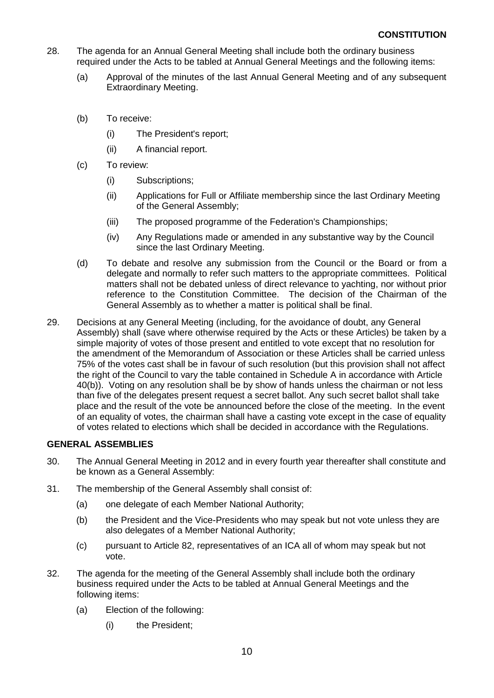- 28. The agenda for an Annual General Meeting shall include both the ordinary business required under the Acts to be tabled at Annual General Meetings and the following items:
	- (a) Approval of the minutes of the last Annual General Meeting and of any subsequent Extraordinary Meeting.
	- (b) To receive:
		- (i) The President's report;
		- (ii) A financial report.
	- (c) To review:
		- (i) Subscriptions;
		- (ii) Applications for Full or Affiliate membership since the last Ordinary Meeting of the General Assembly;
		- (iii) The proposed programme of the Federation's Championships;
		- (iv) Any Regulations made or amended in any substantive way by the Council since the last Ordinary Meeting.
	- (d) To debate and resolve any submission from the Council or the Board or from a delegate and normally to refer such matters to the appropriate committees. Political matters shall not be debated unless of direct relevance to yachting, nor without prior reference to the Constitution Committee. The decision of the Chairman of the General Assembly as to whether a matter is political shall be final.
- 29. Decisions at any General Meeting (including, for the avoidance of doubt, any General Assembly) shall (save where otherwise required by the Acts or these Articles) be taken by a simple majority of votes of those present and entitled to vote except that no resolution for the amendment of the Memorandum of Association or these Articles shall be carried unless 75% of the votes cast shall be in favour of such resolution (but this provision shall not affect the right of the Council to vary the table contained in Schedule A in accordance with Article 40(b)). Voting on any resolution shall be by show of hands unless the chairman or not less than five of the delegates present request a secret ballot. Any such secret ballot shall take place and the result of the vote be announced before the close of the meeting. In the event of an equality of votes, the chairman shall have a casting vote except in the case of equality of votes related to elections which shall be decided in accordance with the Regulations.

#### **GENERAL ASSEMBLIES**

- 30. The Annual General Meeting in 2012 and in every fourth year thereafter shall constitute and be known as a General Assembly:
- 31. The membership of the General Assembly shall consist of:
	- (a) one delegate of each Member National Authority;
	- (b) the President and the Vice-Presidents who may speak but not vote unless they are also delegates of a Member National Authority;
	- (c) pursuant to Article 82, representatives of an ICA all of whom may speak but not vote.
- 32. The agenda for the meeting of the General Assembly shall include both the ordinary business required under the Acts to be tabled at Annual General Meetings and the following items:
	- (a) Election of the following:
		- (i) the President;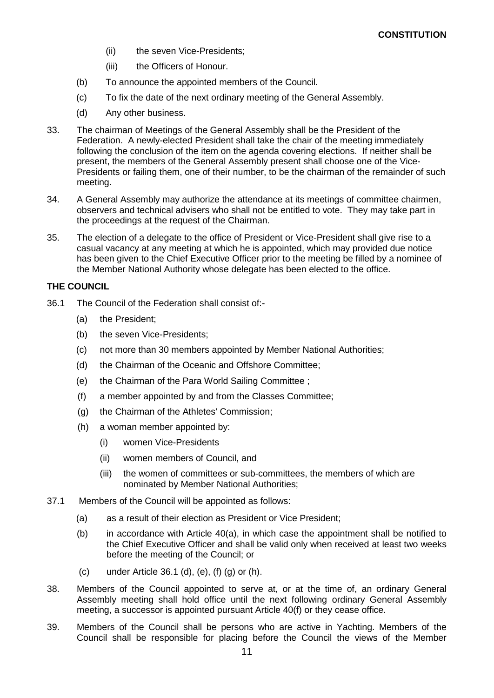- (ii) the seven Vice-Presidents:
- (iii) the Officers of Honour.
- (b) To announce the appointed members of the Council.
- (c) To fix the date of the next ordinary meeting of the General Assembly.
- (d) Any other business.
- 33. The chairman of Meetings of the General Assembly shall be the President of the Federation. A newly-elected President shall take the chair of the meeting immediately following the conclusion of the item on the agenda covering elections. If neither shall be present, the members of the General Assembly present shall choose one of the Vice-Presidents or failing them, one of their number, to be the chairman of the remainder of such meeting.
- 34. A General Assembly may authorize the attendance at its meetings of committee chairmen, observers and technical advisers who shall not be entitled to vote. They may take part in the proceedings at the request of the Chairman.
- 35. The election of a delegate to the office of President or Vice-President shall give rise to a casual vacancy at any meeting at which he is appointed, which may provided due notice has been given to the Chief Executive Officer prior to the meeting be filled by a nominee of the Member National Authority whose delegate has been elected to the office.

## **THE COUNCIL**

- 36.1 The Council of the Federation shall consist of:-
	- (a) the President;
	- (b) the seven Vice-Presidents;
	- (c) not more than 30 members appointed by Member National Authorities;
	- (d) the Chairman of the Oceanic and Offshore Committee;
	- (e) the Chairman of the Para World Sailing Committee ;
	- (f) a member appointed by and from the Classes Committee;
	- (g) the Chairman of the Athletes' Commission;
	- (h) a woman member appointed by:
		- (i) women Vice-Presidents
		- (ii) women members of Council, and
		- (iii) the women of committees or sub-committees, the members of which are nominated by Member National Authorities;
- 37.1 Members of the Council will be appointed as follows:
	- (a) as a result of their election as President or Vice President;
	- (b) in accordance with Article 40(a), in which case the appointment shall be notified to the Chief Executive Officer and shall be valid only when received at least two weeks before the meeting of the Council; or
	- (c) under Article 36.1 (d), (e), (f) (g) or (h).
- 38. Members of the Council appointed to serve at, or at the time of, an ordinary General Assembly meeting shall hold office until the next following ordinary General Assembly meeting, a successor is appointed pursuant Article 40(f) or they cease office.
- 39. Members of the Council shall be persons who are active in Yachting. Members of the Council shall be responsible for placing before the Council the views of the Member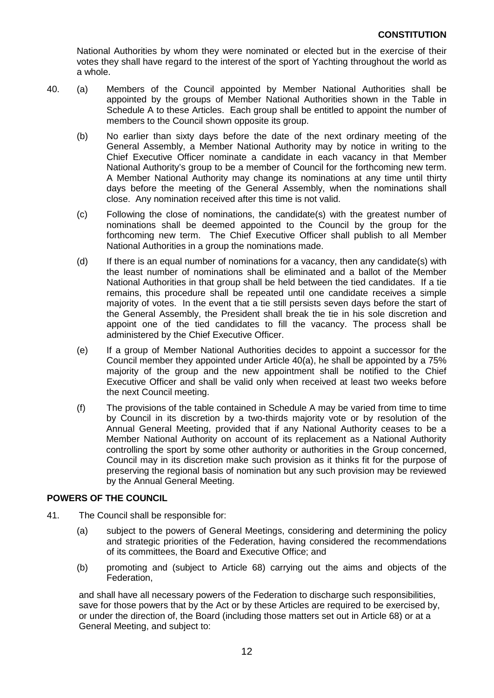National Authorities by whom they were nominated or elected but in the exercise of their votes they shall have regard to the interest of the sport of Yachting throughout the world as a whole.

- 40. (a) Members of the Council appointed by Member National Authorities shall be appointed by the groups of Member National Authorities shown in the Table in Schedule A to these Articles. Each group shall be entitled to appoint the number of members to the Council shown opposite its group.
	- (b) No earlier than sixty days before the date of the next ordinary meeting of the General Assembly, a Member National Authority may by notice in writing to the Chief Executive Officer nominate a candidate in each vacancy in that Member National Authority's group to be a member of Council for the forthcoming new term. A Member National Authority may change its nominations at any time until thirty days before the meeting of the General Assembly, when the nominations shall close. Any nomination received after this time is not valid.
	- (c) Following the close of nominations, the candidate(s) with the greatest number of nominations shall be deemed appointed to the Council by the group for the forthcoming new term. The Chief Executive Officer shall publish to all Member National Authorities in a group the nominations made.
	- (d) If there is an equal number of nominations for a vacancy, then any candidate(s) with the least number of nominations shall be eliminated and a ballot of the Member National Authorities in that group shall be held between the tied candidates. If a tie remains, this procedure shall be repeated until one candidate receives a simple majority of votes. In the event that a tie still persists seven days before the start of the General Assembly, the President shall break the tie in his sole discretion and appoint one of the tied candidates to fill the vacancy. The process shall be administered by the Chief Executive Officer.
	- (e) If a group of Member National Authorities decides to appoint a successor for the Council member they appointed under Article 40(a), he shall be appointed by a 75% majority of the group and the new appointment shall be notified to the Chief Executive Officer and shall be valid only when received at least two weeks before the next Council meeting.
	- (f) The provisions of the table contained in Schedule A may be varied from time to time by Council in its discretion by a two-thirds majority vote or by resolution of the Annual General Meeting, provided that if any National Authority ceases to be a Member National Authority on account of its replacement as a National Authority controlling the sport by some other authority or authorities in the Group concerned, Council may in its discretion make such provision as it thinks fit for the purpose of preserving the regional basis of nomination but any such provision may be reviewed by the Annual General Meeting.

#### **POWERS OF THE COUNCIL**

- 41. The Council shall be responsible for:
	- (a) subject to the powers of General Meetings, considering and determining the policy and strategic priorities of the Federation, having considered the recommendations of its committees, the Board and Executive Office; and
	- (b) promoting and (subject to Article 68) carrying out the aims and objects of the Federation,

and shall have all necessary powers of the Federation to discharge such responsibilities, save for those powers that by the Act or by these Articles are required to be exercised by, or under the direction of, the Board (including those matters set out in Article 68) or at a General Meeting, and subject to: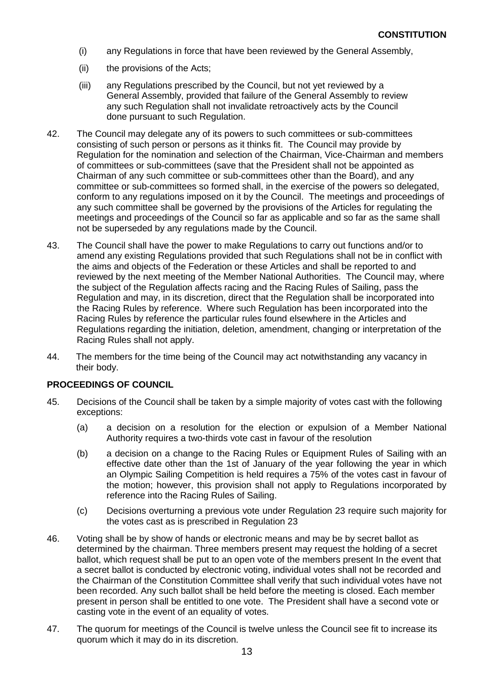- (i) any Regulations in force that have been reviewed by the General Assembly,
- (ii) the provisions of the Acts;
- (iii) any Regulations prescribed by the Council, but not yet reviewed by a General Assembly, provided that failure of the General Assembly to review any such Regulation shall not invalidate retroactively acts by the Council done pursuant to such Regulation.
- 42. The Council may delegate any of its powers to such committees or sub-committees consisting of such person or persons as it thinks fit. The Council may provide by Regulation for the nomination and selection of the Chairman, Vice-Chairman and members of committees or sub-committees (save that the President shall not be appointed as Chairman of any such committee or sub-committees other than the Board), and any committee or sub-committees so formed shall, in the exercise of the powers so delegated, conform to any regulations imposed on it by the Council. The meetings and proceedings of any such committee shall be governed by the provisions of the Articles for regulating the meetings and proceedings of the Council so far as applicable and so far as the same shall not be superseded by any regulations made by the Council.
- 43. The Council shall have the power to make Regulations to carry out functions and/or to amend any existing Regulations provided that such Regulations shall not be in conflict with the aims and objects of the Federation or these Articles and shall be reported to and reviewed by the next meeting of the Member National Authorities. The Council may, where the subject of the Regulation affects racing and the Racing Rules of Sailing, pass the Regulation and may, in its discretion, direct that the Regulation shall be incorporated into the Racing Rules by reference. Where such Regulation has been incorporated into the Racing Rules by reference the particular rules found elsewhere in the Articles and Regulations regarding the initiation, deletion, amendment, changing or interpretation of the Racing Rules shall not apply.
- 44. The members for the time being of the Council may act notwithstanding any vacancy in their body.

#### **PROCEEDINGS OF COUNCIL**

- 45. Decisions of the Council shall be taken by a simple majority of votes cast with the following exceptions:
	- (a) a decision on a resolution for the election or expulsion of a Member National Authority requires a two-thirds vote cast in favour of the resolution
	- (b) a decision on a change to the Racing Rules or Equipment Rules of Sailing with an effective date other than the 1st of January of the year following the year in which an Olympic Sailing Competition is held requires a 75% of the votes cast in favour of the motion; however, this provision shall not apply to Regulations incorporated by reference into the Racing Rules of Sailing.
	- (c) Decisions overturning a previous vote under Regulation 23 require such majority for the votes cast as is prescribed in Regulation 23
- 46. Voting shall be by show of hands or electronic means and may be by secret ballot as determined by the chairman. Three members present may request the holding of a secret ballot, which request shall be put to an open vote of the members present In the event that a secret ballot is conducted by electronic voting, individual votes shall not be recorded and the Chairman of the Constitution Committee shall verify that such individual votes have not been recorded. Any such ballot shall be held before the meeting is closed. Each member present in person shall be entitled to one vote. The President shall have a second vote or casting vote in the event of an equality of votes.
- 47. The quorum for meetings of the Council is twelve unless the Council see fit to increase its quorum which it may do in its discretion.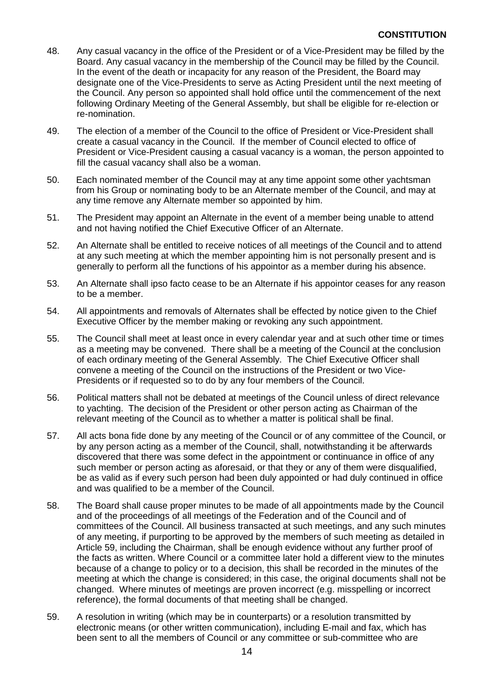- 48. Any casual vacancy in the office of the President or of a Vice-President may be filled by the Board. Any casual vacancy in the membership of the Council may be filled by the Council. In the event of the death or incapacity for any reason of the President, the Board may designate one of the Vice-Presidents to serve as Acting President until the next meeting of the Council. Any person so appointed shall hold office until the commencement of the next following Ordinary Meeting of the General Assembly, but shall be eligible for re-election or re-nomination.
- 49. The election of a member of the Council to the office of President or Vice-President shall create a casual vacancy in the Council. If the member of Council elected to office of President or Vice-President causing a casual vacancy is a woman, the person appointed to fill the casual vacancy shall also be a woman.
- 50. Each nominated member of the Council may at any time appoint some other yachtsman from his Group or nominating body to be an Alternate member of the Council, and may at any time remove any Alternate member so appointed by him.
- 51. The President may appoint an Alternate in the event of a member being unable to attend and not having notified the Chief Executive Officer of an Alternate.
- 52. An Alternate shall be entitled to receive notices of all meetings of the Council and to attend at any such meeting at which the member appointing him is not personally present and is generally to perform all the functions of his appointor as a member during his absence.
- 53. An Alternate shall ipso facto cease to be an Alternate if his appointor ceases for any reason to be a member.
- 54. All appointments and removals of Alternates shall be effected by notice given to the Chief Executive Officer by the member making or revoking any such appointment.
- 55. The Council shall meet at least once in every calendar year and at such other time or times as a meeting may be convened. There shall be a meeting of the Council at the conclusion of each ordinary meeting of the General Assembly. The Chief Executive Officer shall convene a meeting of the Council on the instructions of the President or two Vice-Presidents or if requested so to do by any four members of the Council.
- 56. Political matters shall not be debated at meetings of the Council unless of direct relevance to yachting. The decision of the President or other person acting as Chairman of the relevant meeting of the Council as to whether a matter is political shall be final.
- 57. All acts bona fide done by any meeting of the Council or of any committee of the Council, or by any person acting as a member of the Council, shall, notwithstanding it be afterwards discovered that there was some defect in the appointment or continuance in office of any such member or person acting as aforesaid, or that they or any of them were disqualified, be as valid as if every such person had been duly appointed or had duly continued in office and was qualified to be a member of the Council.
- 58. The Board shall cause proper minutes to be made of all appointments made by the Council and of the proceedings of all meetings of the Federation and of the Council and of committees of the Council. All business transacted at such meetings, and any such minutes of any meeting, if purporting to be approved by the members of such meeting as detailed in Article 59, including the Chairman, shall be enough evidence without any further proof of the facts as written. Where Council or a committee later hold a different view to the minutes because of a change to policy or to a decision, this shall be recorded in the minutes of the meeting at which the change is considered; in this case, the original documents shall not be changed. Where minutes of meetings are proven incorrect (e.g. misspelling or incorrect reference), the formal documents of that meeting shall be changed.
- 59. A resolution in writing (which may be in counterparts) or a resolution transmitted by electronic means (or other written communication), including E-mail and fax, which has been sent to all the members of Council or any committee or sub-committee who are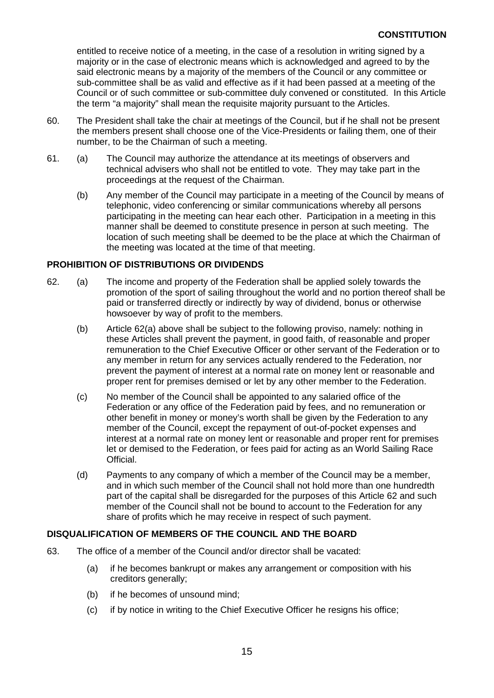entitled to receive notice of a meeting, in the case of a resolution in writing signed by a majority or in the case of electronic means which is acknowledged and agreed to by the said electronic means by a majority of the members of the Council or any committee or sub-committee shall be as valid and effective as if it had been passed at a meeting of the Council or of such committee or sub-committee duly convened or constituted. In this Article the term "a majority" shall mean the requisite majority pursuant to the Articles.

- 60. The President shall take the chair at meetings of the Council, but if he shall not be present the members present shall choose one of the Vice-Presidents or failing them, one of their number, to be the Chairman of such a meeting.
- 61. (a) The Council may authorize the attendance at its meetings of observers and technical advisers who shall not be entitled to vote. They may take part in the proceedings at the request of the Chairman.
	- (b) Any member of the Council may participate in a meeting of the Council by means of telephonic, video conferencing or similar communications whereby all persons participating in the meeting can hear each other. Participation in a meeting in this manner shall be deemed to constitute presence in person at such meeting. The location of such meeting shall be deemed to be the place at which the Chairman of the meeting was located at the time of that meeting.

#### **PROHIBITION OF DISTRIBUTIONS OR DIVIDENDS**

- 62. (a) The income and property of the Federation shall be applied solely towards the promotion of the sport of sailing throughout the world and no portion thereof shall be paid or transferred directly or indirectly by way of dividend, bonus or otherwise howsoever by way of profit to the members.
	- (b) Article 62(a) above shall be subject to the following proviso, namely: nothing in these Articles shall prevent the payment, in good faith, of reasonable and proper remuneration to the Chief Executive Officer or other servant of the Federation or to any member in return for any services actually rendered to the Federation, nor prevent the payment of interest at a normal rate on money lent or reasonable and proper rent for premises demised or let by any other member to the Federation.
	- (c) No member of the Council shall be appointed to any salaried office of the Federation or any office of the Federation paid by fees, and no remuneration or other benefit in money or money's worth shall be given by the Federation to any member of the Council, except the repayment of out-of-pocket expenses and interest at a normal rate on money lent or reasonable and proper rent for premises let or demised to the Federation, or fees paid for acting as an World Sailing Race Official.
	- (d) Payments to any company of which a member of the Council may be a member, and in which such member of the Council shall not hold more than one hundredth part of the capital shall be disregarded for the purposes of this Article 62 and such member of the Council shall not be bound to account to the Federation for any share of profits which he may receive in respect of such payment.

# **DISQUALIFICATION OF MEMBERS OF THE COUNCIL AND THE BOARD**

- 63. The office of a member of the Council and/or director shall be vacated:
	- (a) if he becomes bankrupt or makes any arrangement or composition with his creditors generally;
	- (b) if he becomes of unsound mind;
	- (c) if by notice in writing to the Chief Executive Officer he resigns his office;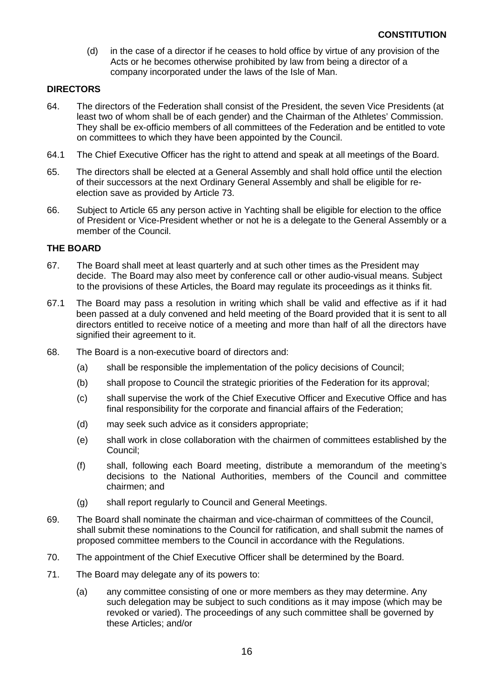(d) in the case of a director if he ceases to hold office by virtue of any provision of the Acts or he becomes otherwise prohibited by law from being a director of a company incorporated under the laws of the Isle of Man.

#### **DIRECTORS**

- 64. The directors of the Federation shall consist of the President, the seven Vice Presidents (at least two of whom shall be of each gender) and the Chairman of the Athletes' Commission. They shall be ex-officio members of all committees of the Federation and be entitled to vote on committees to which they have been appointed by the Council.
- 64.1 The Chief Executive Officer has the right to attend and speak at all meetings of the Board.
- 65. The directors shall be elected at a General Assembly and shall hold office until the election of their successors at the next Ordinary General Assembly and shall be eligible for reelection save as provided by Article 73.
- 66. Subject to Article 65 any person active in Yachting shall be eligible for election to the office of President or Vice-President whether or not he is a delegate to the General Assembly or a member of the Council.

### **THE BOARD**

- 67. The Board shall meet at least quarterly and at such other times as the President may decide. The Board may also meet by conference call or other audio-visual means. Subject to the provisions of these Articles, the Board may regulate its proceedings as it thinks fit.
- 67.1 The Board may pass a resolution in writing which shall be valid and effective as if it had been passed at a duly convened and held meeting of the Board provided that it is sent to all directors entitled to receive notice of a meeting and more than half of all the directors have signified their agreement to it.
- 68. The Board is a non-executive board of directors and:
	- (a) shall be responsible the implementation of the policy decisions of Council;
	- (b) shall propose to Council the strategic priorities of the Federation for its approval;
	- (c) shall supervise the work of the Chief Executive Officer and Executive Office and has final responsibility for the corporate and financial affairs of the Federation;
	- (d) may seek such advice as it considers appropriate;
	- (e) shall work in close collaboration with the chairmen of committees established by the Council;
	- (f) shall, following each Board meeting, distribute a memorandum of the meeting's decisions to the National Authorities, members of the Council and committee chairmen; and
	- (g) shall report regularly to Council and General Meetings.
- 69. The Board shall nominate the chairman and vice-chairman of committees of the Council, shall submit these nominations to the Council for ratification, and shall submit the names of proposed committee members to the Council in accordance with the Regulations.
- 70. The appointment of the Chief Executive Officer shall be determined by the Board.
- 71. The Board may delegate any of its powers to:
	- (a) any committee consisting of one or more members as they may determine. Any such delegation may be subject to such conditions as it may impose (which may be revoked or varied). The proceedings of any such committee shall be governed by these Articles; and/or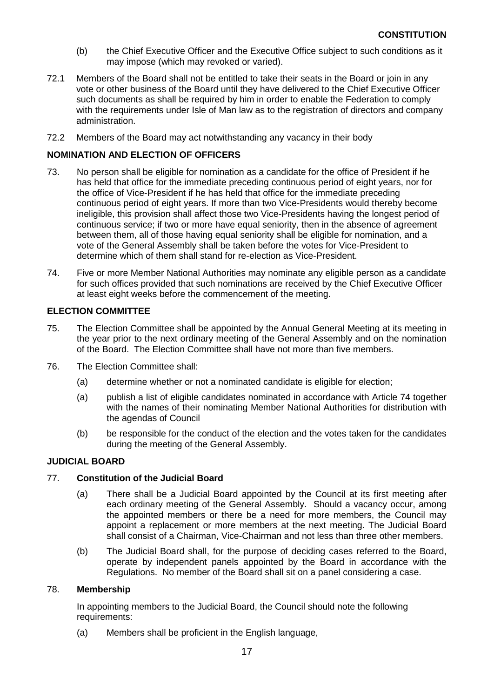- (b) the Chief Executive Officer and the Executive Office subject to such conditions as it may impose (which may revoked or varied).
- 72.1 Members of the Board shall not be entitled to take their seats in the Board or join in any vote or other business of the Board until they have delivered to the Chief Executive Officer such documents as shall be required by him in order to enable the Federation to comply with the requirements under Isle of Man law as to the registration of directors and company administration.
- 72.2 Members of the Board may act notwithstanding any vacancy in their body

### **NOMINATION AND ELECTION OF OFFICERS**

- 73. No person shall be eligible for nomination as a candidate for the office of President if he has held that office for the immediate preceding continuous period of eight years, nor for the office of Vice-President if he has held that office for the immediate preceding continuous period of eight years. If more than two Vice-Presidents would thereby become ineligible, this provision shall affect those two Vice-Presidents having the longest period of continuous service; if two or more have equal seniority, then in the absence of agreement between them, all of those having equal seniority shall be eligible for nomination, and a vote of the General Assembly shall be taken before the votes for Vice-President to determine which of them shall stand for re-election as Vice-President.
- 74. Five or more Member National Authorities may nominate any eligible person as a candidate for such offices provided that such nominations are received by the Chief Executive Officer at least eight weeks before the commencement of the meeting.

#### **ELECTION COMMITTEE**

- 75. The Election Committee shall be appointed by the Annual General Meeting at its meeting in the year prior to the next ordinary meeting of the General Assembly and on the nomination of the Board. The Election Committee shall have not more than five members.
- 76. The Election Committee shall:
	- (a) determine whether or not a nominated candidate is eligible for election;
	- (a) publish a list of eligible candidates nominated in accordance with Article 74 together with the names of their nominating Member National Authorities for distribution with the agendas of Council
	- (b) be responsible for the conduct of the election and the votes taken for the candidates during the meeting of the General Assembly.

### **JUDICIAL BOARD**

#### 77. **Constitution of the Judicial Board**

- (a) There shall be a Judicial Board appointed by the Council at its first meeting after each ordinary meeting of the General Assembly. Should a vacancy occur, among the appointed members or there be a need for more members, the Council may appoint a replacement or more members at the next meeting. The Judicial Board shall consist of a Chairman, Vice-Chairman and not less than three other members.
- (b) The Judicial Board shall, for the purpose of deciding cases referred to the Board, operate by independent panels appointed by the Board in accordance with the Regulations. No member of the Board shall sit on a panel considering a case.

#### 78. **Membership**

In appointing members to the Judicial Board, the Council should note the following requirements:

(a) Members shall be proficient in the English language,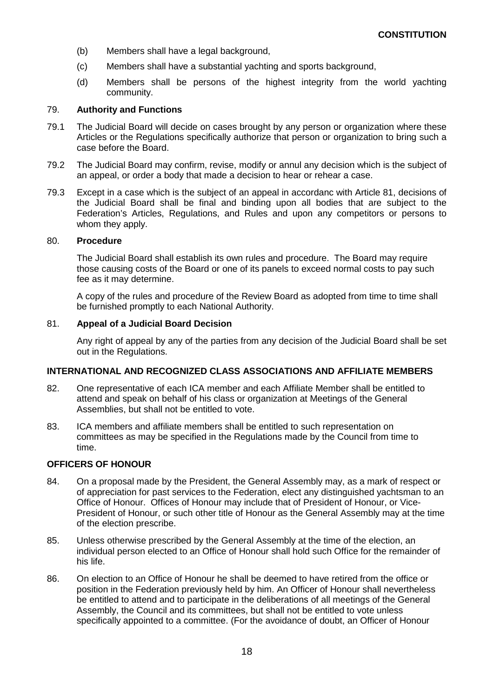- (b) Members shall have a legal background,
- (c) Members shall have a substantial yachting and sports background,
- (d) Members shall be persons of the highest integrity from the world yachting community.

#### 79. **Authority and Functions**

- 79.1 The Judicial Board will decide on cases brought by any person or organization where these Articles or the Regulations specifically authorize that person or organization to bring such a case before the Board.
- 79.2 The Judicial Board may confirm, revise, modify or annul any decision which is the subject of an appeal, or order a body that made a decision to hear or rehear a case.
- 79.3 Except in a case which is the subject of an appeal in accordanc with Article 81, decisions of the Judicial Board shall be final and binding upon all bodies that are subject to the Federation's Articles, Regulations, and Rules and upon any competitors or persons to whom they apply.

#### 80. **Procedure**

The Judicial Board shall establish its own rules and procedure. The Board may require those causing costs of the Board or one of its panels to exceed normal costs to pay such fee as it may determine.

A copy of the rules and procedure of the Review Board as adopted from time to time shall be furnished promptly to each National Authority.

#### 81. **Appeal of a Judicial Board Decision**

Any right of appeal by any of the parties from any decision of the Judicial Board shall be set out in the Regulations.

#### **INTERNATIONAL AND RECOGNIZED CLASS ASSOCIATIONS AND AFFILIATE MEMBERS**

- 82. One representative of each ICA member and each Affiliate Member shall be entitled to attend and speak on behalf of his class or organization at Meetings of the General Assemblies, but shall not be entitled to vote.
- 83. ICA members and affiliate members shall be entitled to such representation on committees as may be specified in the Regulations made by the Council from time to time.

#### **OFFICERS OF HONOUR**

- 84. On a proposal made by the President, the General Assembly may, as a mark of respect or of appreciation for past services to the Federation, elect any distinguished yachtsman to an Office of Honour. Offices of Honour may include that of President of Honour, or Vice-President of Honour, or such other title of Honour as the General Assembly may at the time of the election prescribe.
- 85. Unless otherwise prescribed by the General Assembly at the time of the election, an individual person elected to an Office of Honour shall hold such Office for the remainder of his life.
- 86. On election to an Office of Honour he shall be deemed to have retired from the office or position in the Federation previously held by him. An Officer of Honour shall nevertheless be entitled to attend and to participate in the deliberations of all meetings of the General Assembly, the Council and its committees, but shall not be entitled to vote unless specifically appointed to a committee. (For the avoidance of doubt, an Officer of Honour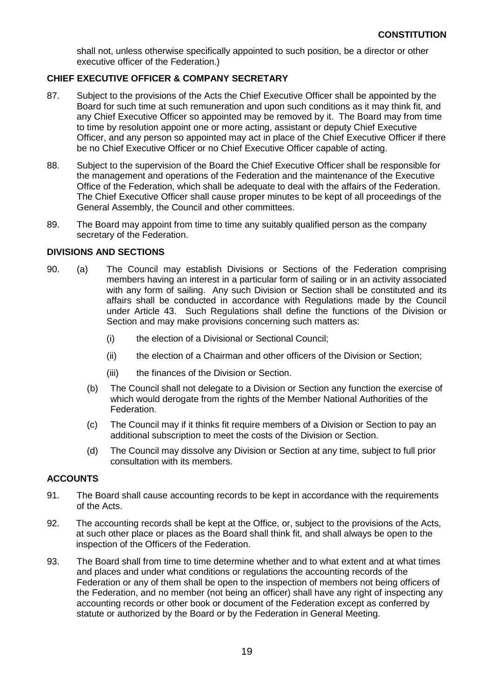shall not, unless otherwise specifically appointed to such position, be a director or other executive officer of the Federation.)

## **CHIEF EXECUTIVE OFFICER & COMPANY SECRETARY**

- 87. Subject to the provisions of the Acts the Chief Executive Officer shall be appointed by the Board for such time at such remuneration and upon such conditions as it may think fit, and any Chief Executive Officer so appointed may be removed by it. The Board may from time to time by resolution appoint one or more acting, assistant or deputy Chief Executive Officer, and any person so appointed may act in place of the Chief Executive Officer if there be no Chief Executive Officer or no Chief Executive Officer capable of acting.
- 88. Subject to the supervision of the Board the Chief Executive Officer shall be responsible for the management and operations of the Federation and the maintenance of the Executive Office of the Federation, which shall be adequate to deal with the affairs of the Federation. The Chief Executive Officer shall cause proper minutes to be kept of all proceedings of the General Assembly, the Council and other committees.
- 89. The Board may appoint from time to time any suitably qualified person as the company secretary of the Federation.

#### **DIVISIONS AND SECTIONS**

- 90. (a) The Council may establish Divisions or Sections of the Federation comprising members having an interest in a particular form of sailing or in an activity associated with any form of sailing. Any such Division or Section shall be constituted and its affairs shall be conducted in accordance with Regulations made by the Council under Article 43. Such Regulations shall define the functions of the Division or Section and may make provisions concerning such matters as:
	- (i) the election of a Divisional or Sectional Council;
	- (ii) the election of a Chairman and other officers of the Division or Section;
	- (iii) the finances of the Division or Section.
	- (b) The Council shall not delegate to a Division or Section any function the exercise of which would derogate from the rights of the Member National Authorities of the Federation.
	- (c) The Council may if it thinks fit require members of a Division or Section to pay an additional subscription to meet the costs of the Division or Section.
	- (d) The Council may dissolve any Division or Section at any time, subject to full prior consultation with its members.

#### **ACCOUNTS**

- 91. The Board shall cause accounting records to be kept in accordance with the requirements of the Acts.
- 92. The accounting records shall be kept at the Office, or, subject to the provisions of the Acts, at such other place or places as the Board shall think fit, and shall always be open to the inspection of the Officers of the Federation.
- 93. The Board shall from time to time determine whether and to what extent and at what times and places and under what conditions or regulations the accounting records of the Federation or any of them shall be open to the inspection of members not being officers of the Federation, and no member (not being an officer) shall have any right of inspecting any accounting records or other book or document of the Federation except as conferred by statute or authorized by the Board or by the Federation in General Meeting.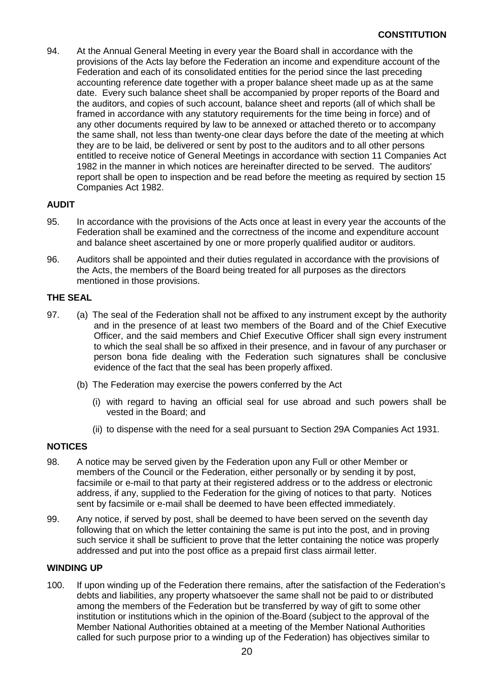94. At the Annual General Meeting in every year the Board shall in accordance with the provisions of the Acts lay before the Federation an income and expenditure account of the Federation and each of its consolidated entities for the period since the last preceding accounting reference date together with a proper balance sheet made up as at the same date. Every such balance sheet shall be accompanied by proper reports of the Board and the auditors, and copies of such account, balance sheet and reports (all of which shall be framed in accordance with any statutory requirements for the time being in force) and of any other documents required by law to be annexed or attached thereto or to accompany the same shall, not less than twenty-one clear days before the date of the meeting at which they are to be laid, be delivered or sent by post to the auditors and to all other persons entitled to receive notice of General Meetings in accordance with section 11 Companies Act 1982 in the manner in which notices are hereinafter directed to be served. The auditors' report shall be open to inspection and be read before the meeting as required by section 15 Companies Act 1982.

## **AUDIT**

- 95. In accordance with the provisions of the Acts once at least in every year the accounts of the Federation shall be examined and the correctness of the income and expenditure account and balance sheet ascertained by one or more properly qualified auditor or auditors.
- 96. Auditors shall be appointed and their duties regulated in accordance with the provisions of the Acts, the members of the Board being treated for all purposes as the directors mentioned in those provisions.

## **THE SEAL**

- 97. (a) The seal of the Federation shall not be affixed to any instrument except by the authority and in the presence of at least two members of the Board and of the Chief Executive Officer, and the said members and Chief Executive Officer shall sign every instrument to which the seal shall be so affixed in their presence, and in favour of any purchaser or person bona fide dealing with the Federation such signatures shall be conclusive evidence of the fact that the seal has been properly affixed.
	- (b) The Federation may exercise the powers conferred by the Act
		- (i) with regard to having an official seal for use abroad and such powers shall be vested in the Board; and
		- (ii) to dispense with the need for a seal pursuant to Section 29A Companies Act 1931.

## **NOTICES**

- 98. A notice may be served given by the Federation upon any Full or other Member or members of the Council or the Federation, either personally or by sending it by post, facsimile or e-mail to that party at their registered address or to the address or electronic address, if any, supplied to the Federation for the giving of notices to that party. Notices sent by facsimile or e-mail shall be deemed to have been effected immediately.
- 99. Any notice, if served by post, shall be deemed to have been served on the seventh day following that on which the letter containing the same is put into the post, and in proving such service it shall be sufficient to prove that the letter containing the notice was properly addressed and put into the post office as a prepaid first class airmail letter.

#### **WINDING UP**

100. If upon winding up of the Federation there remains, after the satisfaction of the Federation's debts and liabilities, any property whatsoever the same shall not be paid to or distributed among the members of the Federation but be transferred by way of gift to some other institution or institutions which in the opinion of the Board (subject to the approval of the Member National Authorities obtained at a meeting of the Member National Authorities called for such purpose prior to a winding up of the Federation) has objectives similar to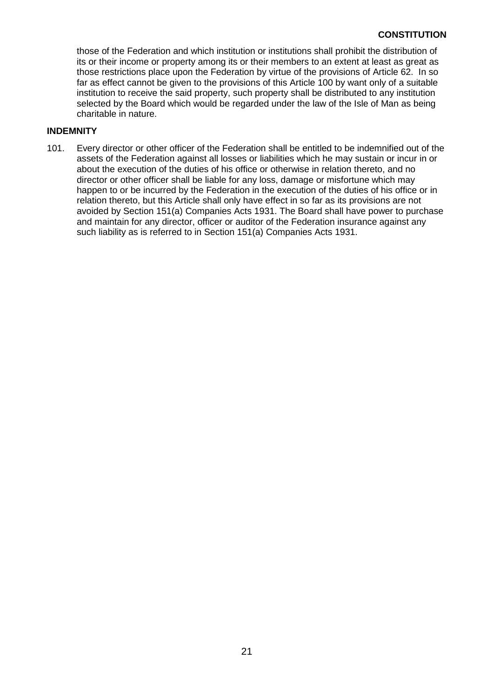those of the Federation and which institution or institutions shall prohibit the distribution of its or their income or property among its or their members to an extent at least as great as those restrictions place upon the Federation by virtue of the provisions of Article 62. In so far as effect cannot be given to the provisions of this Article 100 by want only of a suitable institution to receive the said property, such property shall be distributed to any institution selected by the Board which would be regarded under the law of the Isle of Man as being charitable in nature.

#### **INDEMNITY**

101. Every director or other officer of the Federation shall be entitled to be indemnified out of the assets of the Federation against all losses or liabilities which he may sustain or incur in or about the execution of the duties of his office or otherwise in relation thereto, and no director or other officer shall be liable for any loss, damage or misfortune which may happen to or be incurred by the Federation in the execution of the duties of his office or in relation thereto, but this Article shall only have effect in so far as its provisions are not avoided by Section 151(a) Companies Acts 1931. The Board shall have power to purchase and maintain for any director, officer or auditor of the Federation insurance against any such liability as is referred to in Section 151(a) Companies Acts 1931.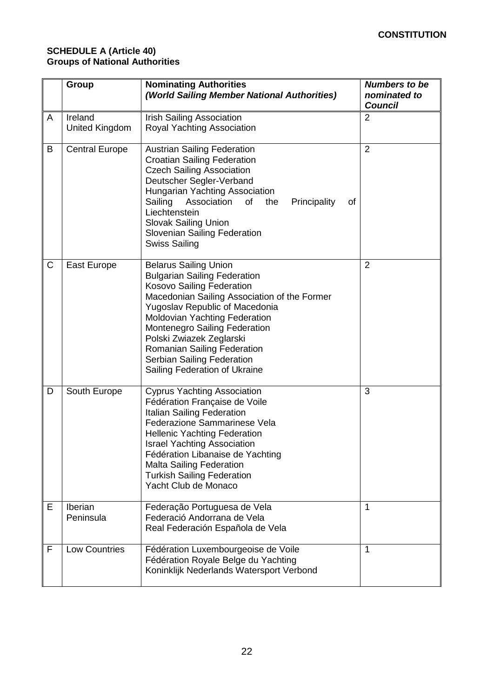## **SCHEDULE A (Article 40) Groups of National Authorities**

|             | <b>Group</b>                     | <b>Nominating Authorities</b><br>(World Sailing Member National Authorities)                                                                                                                                                                                                                                                                                                   | <b>Numbers to be</b><br>nominated to<br><b>Council</b> |
|-------------|----------------------------------|--------------------------------------------------------------------------------------------------------------------------------------------------------------------------------------------------------------------------------------------------------------------------------------------------------------------------------------------------------------------------------|--------------------------------------------------------|
| A           | Ireland<br><b>United Kingdom</b> | <b>Irish Sailing Association</b><br><b>Royal Yachting Association</b>                                                                                                                                                                                                                                                                                                          | $\overline{2}$                                         |
| B           | <b>Central Europe</b>            | <b>Austrian Sailing Federation</b><br><b>Croatian Sailing Federation</b><br><b>Czech Sailing Association</b><br>Deutscher Segler-Verband<br>Hungarian Yachting Association<br>Association<br>the<br>Sailing<br>of<br>Principality<br>οf<br>Liechtenstein<br><b>Slovak Sailing Union</b><br>Slovenian Sailing Federation<br><b>Swiss Sailing</b>                                | $\overline{2}$                                         |
| $\mathsf C$ | East Europe                      | <b>Belarus Sailing Union</b><br><b>Bulgarian Sailing Federation</b><br>Kosovo Sailing Federation<br>Macedonian Sailing Association of the Former<br>Yugoslav Republic of Macedonia<br>Moldovian Yachting Federation<br>Montenegro Sailing Federation<br>Polski Zwiazek Zeglarski<br>Romanian Sailing Federation<br>Serbian Sailing Federation<br>Sailing Federation of Ukraine | $\overline{2}$                                         |
| D           | South Europe                     | <b>Cyprus Yachting Association</b><br>Fédération Française de Voile<br><b>Italian Sailing Federation</b><br>Federazione Sammarinese Vela<br><b>Hellenic Yachting Federation</b><br><b>Israel Yachting Association</b><br>Fédération Libanaise de Yachting<br><b>Malta Sailing Federation</b><br><b>Turkish Sailing Federation</b><br>Yacht Club de Monaco                      | 3                                                      |
| Ε           | Iberian<br>Peninsula             | Federação Portuguesa de Vela<br>Federació Andorrana de Vela<br>Real Federación Española de Vela                                                                                                                                                                                                                                                                                | 1                                                      |
| F           | <b>Low Countries</b>             | Fédération Luxembourgeoise de Voile<br>Fédération Royale Belge du Yachting<br>Koninklijk Nederlands Watersport Verbond                                                                                                                                                                                                                                                         | 1                                                      |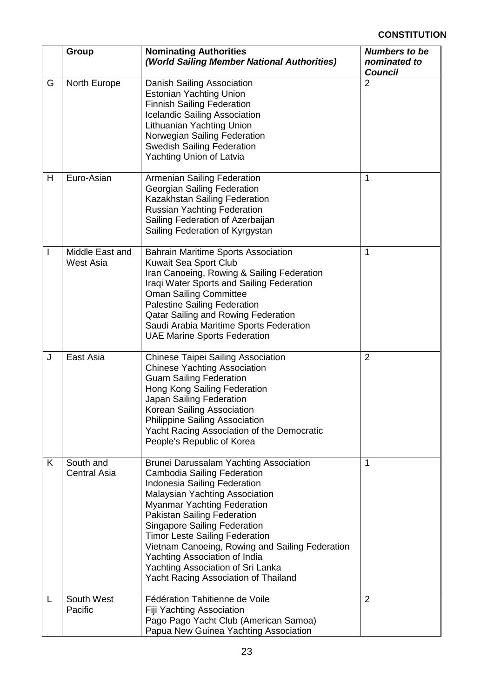|                          | <b>Group</b>                        | <b>Nominating Authorities</b><br>(World Sailing Member National Authorities)                                                                                                                                                                                                                                                                                                                                                                                                | <b>Numbers to be</b><br>nominated to<br><b>Council</b> |
|--------------------------|-------------------------------------|-----------------------------------------------------------------------------------------------------------------------------------------------------------------------------------------------------------------------------------------------------------------------------------------------------------------------------------------------------------------------------------------------------------------------------------------------------------------------------|--------------------------------------------------------|
| G                        | North Europe                        | Danish Sailing Association<br><b>Estonian Yachting Union</b><br><b>Finnish Sailing Federation</b><br><b>Icelandic Sailing Association</b><br>Lithuanian Yachting Union<br>Norwegian Sailing Federation<br><b>Swedish Sailing Federation</b><br>Yachting Union of Latvia                                                                                                                                                                                                     | $\overline{2}$                                         |
| H                        | Euro-Asian                          | <b>Armenian Sailing Federation</b><br>Georgian Sailing Federation<br>Kazakhstan Sailing Federation<br><b>Russian Yachting Federation</b><br>Sailing Federation of Azerbaijan<br>Sailing Federation of Kyrgystan                                                                                                                                                                                                                                                             | 1                                                      |
| $\overline{\phantom{a}}$ | Middle East and<br><b>West Asia</b> | <b>Bahrain Maritime Sports Association</b><br>Kuwait Sea Sport Club<br>Iran Canoeing, Rowing & Sailing Federation<br>Iraqi Water Sports and Sailing Federation<br><b>Oman Sailing Committee</b><br><b>Palestine Sailing Federation</b><br><b>Qatar Sailing and Rowing Federation</b><br>Saudi Arabia Maritime Sports Federation<br><b>UAE Marine Sports Federation</b>                                                                                                      | 1                                                      |
| J                        | East Asia                           | <b>Chinese Taipei Sailing Association</b><br><b>Chinese Yachting Association</b><br><b>Guam Sailing Federation</b><br>Hong Kong Sailing Federation<br>Japan Sailing Federation<br>Korean Sailing Association<br>Philippine Sailing Association<br>Yacht Racing Association of the Democratic<br>People's Republic of Korea                                                                                                                                                  | $\overline{2}$                                         |
| K                        | South and<br><b>Central Asia</b>    | Brunei Darussalam Yachting Association<br><b>Cambodia Sailing Federation</b><br>Indonesia Sailing Federation<br><b>Malaysian Yachting Association</b><br><b>Myanmar Yachting Federation</b><br>Pakistan Sailing Federation<br><b>Singapore Sailing Federation</b><br><b>Timor Leste Sailing Federation</b><br>Vietnam Canoeing, Rowing and Sailing Federation<br>Yachting Association of India<br>Yachting Association of Sri Lanka<br>Yacht Racing Association of Thailand | 1                                                      |
| L                        | South West<br>Pacific               | Fédération Tahitienne de Voile<br>Fiji Yachting Association<br>Pago Pago Yacht Club (American Samoa)<br>Papua New Guinea Yachting Association                                                                                                                                                                                                                                                                                                                               | 2                                                      |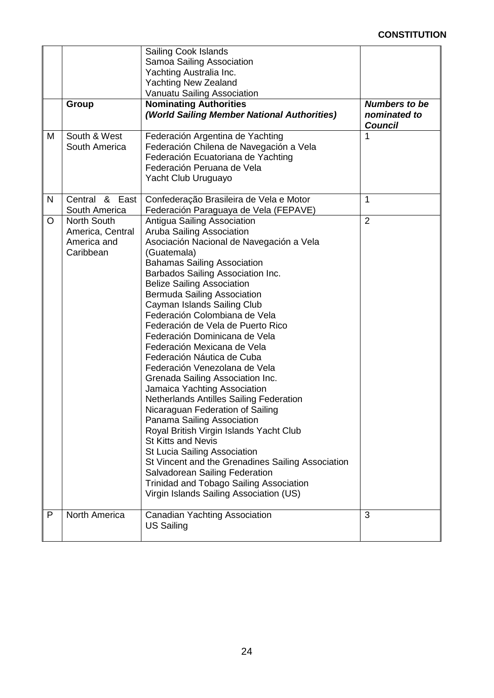|   | Group                                                              | Sailing Cook Islands<br>Samoa Sailing Association<br>Yachting Australia Inc.<br><b>Yachting New Zealand</b><br>Vanuatu Sailing Association<br><b>Nominating Authorities</b><br>(World Sailing Member National Authorities)                                                                                                                                                                                                                                                                                                                                                                                                                                                                                                                                                                                                                                                                                                                                                                        | <b>Numbers to be</b><br>nominated to |
|---|--------------------------------------------------------------------|---------------------------------------------------------------------------------------------------------------------------------------------------------------------------------------------------------------------------------------------------------------------------------------------------------------------------------------------------------------------------------------------------------------------------------------------------------------------------------------------------------------------------------------------------------------------------------------------------------------------------------------------------------------------------------------------------------------------------------------------------------------------------------------------------------------------------------------------------------------------------------------------------------------------------------------------------------------------------------------------------|--------------------------------------|
|   |                                                                    |                                                                                                                                                                                                                                                                                                                                                                                                                                                                                                                                                                                                                                                                                                                                                                                                                                                                                                                                                                                                   | <b>Council</b>                       |
| M | South & West<br>South America                                      | Federación Argentina de Yachting<br>Federación Chilena de Navegación a Vela<br>Federación Ecuatoriana de Yachting<br>Federación Peruana de Vela<br>Yacht Club Uruguayo                                                                                                                                                                                                                                                                                                                                                                                                                                                                                                                                                                                                                                                                                                                                                                                                                            | 1                                    |
| N | Central & East<br>South America                                    | Confederação Brasileira de Vela e Motor<br>Federación Paraguaya de Vela (FEPAVE)                                                                                                                                                                                                                                                                                                                                                                                                                                                                                                                                                                                                                                                                                                                                                                                                                                                                                                                  | 1                                    |
| O | <b>North South</b><br>America, Central<br>America and<br>Caribbean | Antigua Sailing Association<br>Aruba Sailing Association<br>Asociación Nacional de Navegación a Vela<br>(Guatemala)<br><b>Bahamas Sailing Association</b><br>Barbados Sailing Association Inc.<br><b>Belize Sailing Association</b><br><b>Bermuda Sailing Association</b><br>Cayman Islands Sailing Club<br>Federación Colombiana de Vela<br>Federación de Vela de Puerto Rico<br>Federación Dominicana de Vela<br>Federación Mexicana de Vela<br>Federación Náutica de Cuba<br>Federación Venezolana de Vela<br>Grenada Sailing Association Inc.<br>Jamaica Yachting Association<br><b>Netherlands Antilles Sailing Federation</b><br>Nicaraguan Federation of Sailing<br>Panama Sailing Association<br>Royal British Virgin Islands Yacht Club<br><b>St Kitts and Nevis</b><br>St Lucia Sailing Association<br>St Vincent and the Grenadines Sailing Association<br>Salvadorean Sailing Federation<br><b>Trinidad and Tobago Sailing Association</b><br>Virgin Islands Sailing Association (US) | $\overline{2}$                       |
| P | North America                                                      | Canadian Yachting Association<br><b>US Sailing</b>                                                                                                                                                                                                                                                                                                                                                                                                                                                                                                                                                                                                                                                                                                                                                                                                                                                                                                                                                | 3                                    |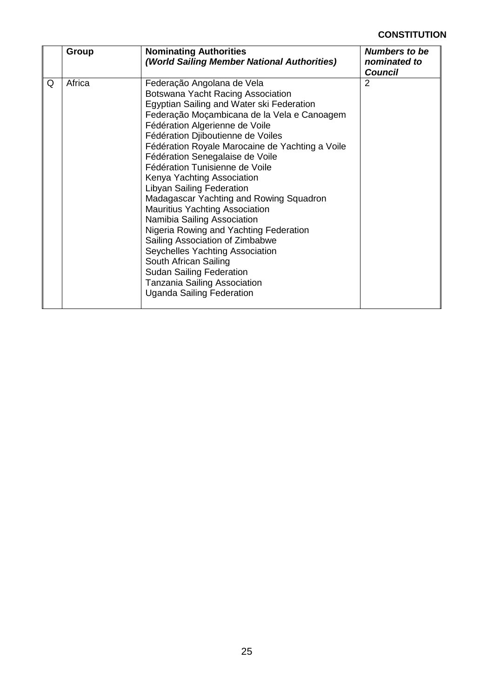|   | Group  | <b>Nominating Authorities</b><br>(World Sailing Member National Authorities)                                                                                                                                                                                                                                                                                                                                                                                                                                                                                                                                                                                                                                                                                                                           | <b>Numbers to be</b><br>nominated to<br>Council |
|---|--------|--------------------------------------------------------------------------------------------------------------------------------------------------------------------------------------------------------------------------------------------------------------------------------------------------------------------------------------------------------------------------------------------------------------------------------------------------------------------------------------------------------------------------------------------------------------------------------------------------------------------------------------------------------------------------------------------------------------------------------------------------------------------------------------------------------|-------------------------------------------------|
| Q | Africa | Federação Angolana de Vela<br>Botswana Yacht Racing Association<br>Egyptian Sailing and Water ski Federation<br>Federação Moçambicana de la Vela e Canoagem<br>Fédération Algerienne de Voile<br>Fédération Djiboutienne de Voiles<br>Fédération Royale Marocaine de Yachting a Voile<br>Fédération Senegalaise de Voile<br>Fédération Tunisienne de Voile<br>Kenya Yachting Association<br><b>Libyan Sailing Federation</b><br>Madagascar Yachting and Rowing Squadron<br><b>Mauritius Yachting Association</b><br>Namibia Sailing Association<br>Nigeria Rowing and Yachting Federation<br>Sailing Association of Zimbabwe<br>Seychelles Yachting Association<br>South African Sailing<br><b>Sudan Sailing Federation</b><br><b>Tanzania Sailing Association</b><br><b>Uganda Sailing Federation</b> | 2                                               |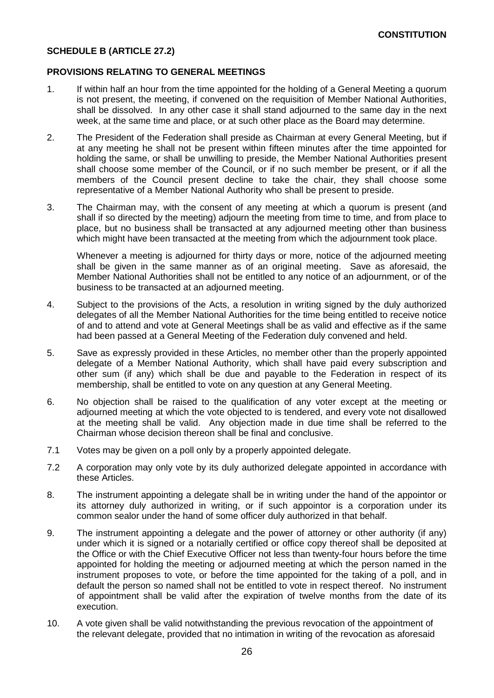#### **SCHEDULE B (ARTICLE 27.2)**

#### **PROVISIONS RELATING TO GENERAL MEETINGS**

- 1. If within half an hour from the time appointed for the holding of a General Meeting a quorum is not present, the meeting, if convened on the requisition of Member National Authorities, shall be dissolved. In any other case it shall stand adjourned to the same day in the next week, at the same time and place, or at such other place as the Board may determine.
- 2. The President of the Federation shall preside as Chairman at every General Meeting, but if at any meeting he shall not be present within fifteen minutes after the time appointed for holding the same, or shall be unwilling to preside, the Member National Authorities present shall choose some member of the Council, or if no such member be present, or if all the members of the Council present decline to take the chair, they shall choose some representative of a Member National Authority who shall be present to preside.
- 3. The Chairman may, with the consent of any meeting at which a quorum is present (and shall if so directed by the meeting) adjourn the meeting from time to time, and from place to place, but no business shall be transacted at any adjourned meeting other than business which might have been transacted at the meeting from which the adjournment took place.

Whenever a meeting is adjourned for thirty days or more, notice of the adjourned meeting shall be given in the same manner as of an original meeting. Save as aforesaid, the Member National Authorities shall not be entitled to any notice of an adjournment, or of the business to be transacted at an adjourned meeting.

- 4. Subject to the provisions of the Acts, a resolution in writing signed by the duly authorized delegates of all the Member National Authorities for the time being entitled to receive notice of and to attend and vote at General Meetings shall be as valid and effective as if the same had been passed at a General Meeting of the Federation duly convened and held.
- 5. Save as expressly provided in these Articles, no member other than the properly appointed delegate of a Member National Authority, which shall have paid every subscription and other sum (if any) which shall be due and payable to the Federation in respect of its membership, shall be entitled to vote on any question at any General Meeting.
- 6. No objection shall be raised to the qualification of any voter except at the meeting or adjourned meeting at which the vote objected to is tendered, and every vote not disallowed at the meeting shall be valid. Any objection made in due time shall be referred to the Chairman whose decision thereon shall be final and conclusive.
- 7.1 Votes may be given on a poll only by a properly appointed delegate.
- 7.2 A corporation may only vote by its duly authorized delegate appointed in accordance with these Articles.
- 8. The instrument appointing a delegate shall be in writing under the hand of the appointor or its attorney duly authorized in writing, or if such appointor is a corporation under its common sealor under the hand of some officer duly authorized in that behalf.
- 9. The instrument appointing a delegate and the power of attorney or other authority (if any) under which it is signed or a notarially certified or office copy thereof shall be deposited at the Office or with the Chief Executive Officer not less than twenty-four hours before the time appointed for holding the meeting or adjourned meeting at which the person named in the instrument proposes to vote, or before the time appointed for the taking of a poll, and in default the person so named shall not be entitled to vote in respect thereof. No instrument of appointment shall be valid after the expiration of twelve months from the date of its execution.
- 10. A vote given shall be valid notwithstanding the previous revocation of the appointment of the relevant delegate, provided that no intimation in writing of the revocation as aforesaid